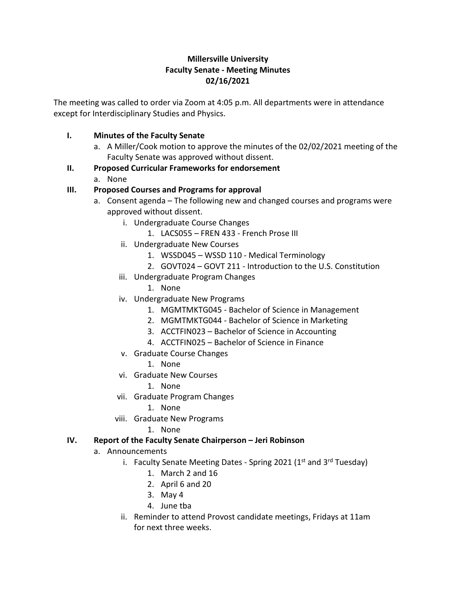# **Millersville University Faculty Senate - Meeting Minutes 02/16/2021**

The meeting was called to order via Zoom at 4:05 p.m. All departments were in attendance except for Interdisciplinary Studies and Physics.

### **I. Minutes of the Faculty Senate**

- a. A Miller/Cook motion to approve the minutes of the 02/02/2021 meeting of the Faculty Senate was approved without dissent.
- **II. Proposed Curricular Frameworks for endorsement**
	- a. None

### **III. Proposed Courses and Programs for approval**

- a. Consent agenda The following new and changed courses and programs were approved without dissent.
	- i. Undergraduate Course Changes
		- 1. LACS055 FREN 433 French Prose III
	- ii. Undergraduate New Courses
		- 1. WSSD045 WSSD 110 Medical Terminology
		- 2. GOVT024 GOVT 211 Introduction to the U.S. Constitution
	- iii. Undergraduate Program Changes
		- 1. None
	- iv. Undergraduate New Programs
		- 1. MGMTMKTG045 Bachelor of Science in Management
		- 2. MGMTMKTG044 Bachelor of Science in Marketing
		- 3. ACCTFIN023 Bachelor of Science in Accounting
		- 4. ACCTFIN025 Bachelor of Science in Finance
	- v. Graduate Course Changes
		- 1. None
	- vi. Graduate New Courses
		- 1. None
	- vii. Graduate Program Changes
		- 1. None
	- viii. Graduate New Programs
		- 1. None

# **IV. Report of the Faculty Senate Chairperson – Jeri Robinson**

- a. Announcements
	- i. Faculty Senate Meeting Dates Spring 2021 ( $1<sup>st</sup>$  and  $3<sup>rd</sup>$  Tuesday)
		- 1. March 2 and 16
		- 2. April 6 and 20
		- 3. May 4
		- 4. June tba
	- ii. Reminder to attend Provost candidate meetings, Fridays at 11am for next three weeks.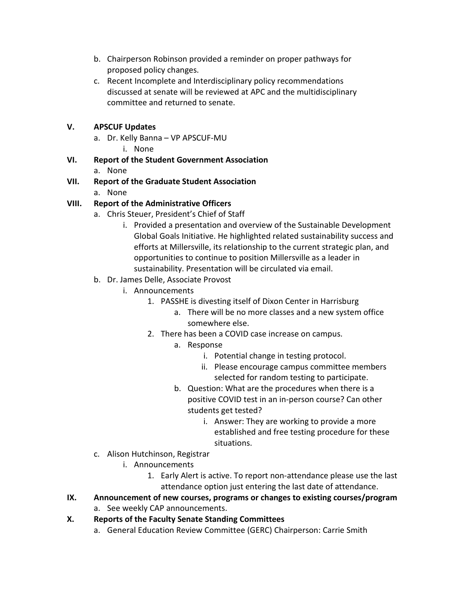- b. Chairperson Robinson provided a reminder on proper pathways for proposed policy changes.
- c. Recent Incomplete and Interdisciplinary policy recommendations discussed at senate will be reviewed at APC and the multidisciplinary committee and returned to senate.

## **V. APSCUF Updates**

- a. Dr. Kelly Banna VP APSCUF-MU
	- i. None
- **VI. Report of the Student Government Association** a. None
- **VII. Report of the Graduate Student Association**
	- a. None

# **VIII. Report of the Administrative Officers**

- a. Chris Steuer, President's Chief of Staff
	- i. Provided a presentation and overview of the Sustainable Development Global Goals Initiative. He highlighted related sustainability success and efforts at Millersville, its relationship to the current strategic plan, and opportunities to continue to position Millersville as a leader in sustainability. Presentation will be circulated via email.
- b. Dr. James Delle, Associate Provost
	- i. Announcements
		- 1. PASSHE is divesting itself of Dixon Center in Harrisburg
			- a. There will be no more classes and a new system office somewhere else.
		- 2. There has been a COVID case increase on campus.
			- a. Response
				- i. Potential change in testing protocol.
				- ii. Please encourage campus committee members selected for random testing to participate.
			- b. Question: What are the procedures when there is a positive COVID test in an in-person course? Can other students get tested?
				- i. Answer: They are working to provide a more established and free testing procedure for these situations.
- c. Alison Hutchinson, Registrar
	- i. Announcements
		- 1. Early Alert is active. To report non-attendance please use the last attendance option just entering the last date of attendance.
- **IX. Announcement of new courses, programs or changes to existing courses/program**
	- a. See weekly CAP announcements.
- **X. Reports of the Faculty Senate Standing Committees**
	- a. General Education Review Committee (GERC) Chairperson: Carrie Smith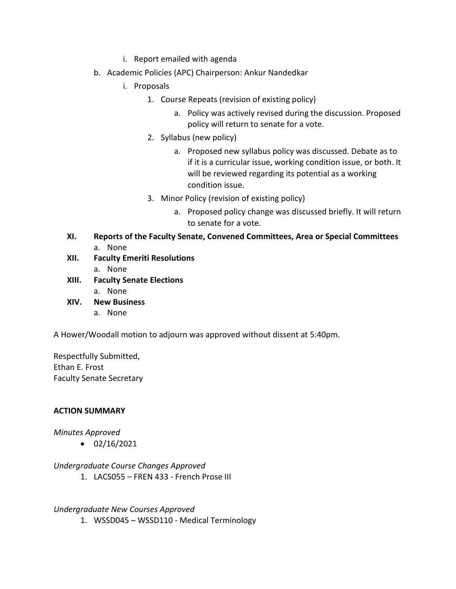- i. Report emailed with agenda
- b. Academic Policies (APC) Chairperson: Ankur Nandedkar
	- i. Proposals
		- 1. Course Repeats (revision of existing policy)
			- a. Policy was actively revised during the discussion. Proposed policy will return to senate for a vote.
		- 2. Syllabus (new policy)
			- a. Proposed new syllabus policy was discussed. Debate as to if it is a curricular issue, working condition issue, or both. It will be reviewed regarding its potential as a working condition issue.
		- 3. Minor Policy (revision of existing policy)
			- a. Proposed policy change was discussed briefly. It will return to senate for a vote.
- **XI. Reports of the Faculty Senate, Convened Committees, Area or Special Committees** a. None
- **XII. Faculty Emeriti Resolutions** a. None
- **XIII. Faculty Senate Elections**
	- a. None
- **XIV. New Business**
	- a. None

A Hower/Woodall motion to adjourn was approved without dissent at 5:40pm.

Respectfully Submitted, Ethan E. Frost Faculty Senate Secretary

### **ACTION SUMMARY**

### *Minutes Approved*

 $\bullet$  02/16/2021

*Undergraduate Course Changes Approved*

1. LACS055 – FREN 433 - French Prose III

### *Undergraduate New Courses Approved*

1. WSSD045 – WSSD110 - Medical Terminology